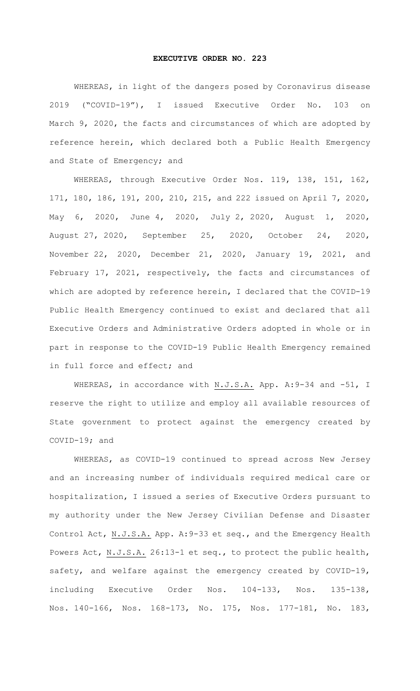## **EXECUTIVE ORDER NO. 223**

WHEREAS, in light of the dangers posed by Coronavirus disease 2019 ("COVID-19"), I issued Executive Order No. 103 on March 9, 2020, the facts and circumstances of which are adopted by reference herein, which declared both a Public Health Emergency and State of Emergency; and

WHEREAS, through Executive Order Nos. 119, 138, 151, 162, 171, 180, 186, 191, 200, 210, 215, and 222 issued on April 7, 2020, May 6, 2020, June 4, 2020, July 2, 2020, August 1, 2020, August 27, 2020, September 25, 2020, October 24, 2020, November 22, 2020, December 21, 2020, January 19, 2021, and February 17, 2021, respectively, the facts and circumstances of which are adopted by reference herein, I declared that the COVID-19 Public Health Emergency continued to exist and declared that all Executive Orders and Administrative Orders adopted in whole or in part in response to the COVID-19 Public Health Emergency remained in full force and effect; and

WHEREAS, in accordance with N.J.S.A. App. A: 9-34 and -51, I reserve the right to utilize and employ all available resources of State government to protect against the emergency created by COVID-19; and

WHEREAS, as COVID-19 continued to spread across New Jersey and an increasing number of individuals required medical care or hospitalization, I issued a series of Executive Orders pursuant to my authority under the New Jersey Civilian Defense and Disaster Control Act, N.J.S.A. App. A:9-33 et seq., and the Emergency Health Powers Act, N.J.S.A. 26:13-1 et seq., to protect the public health, safety, and welfare against the emergency created by COVID-19, including Executive Order Nos. 104-133, Nos. 135-138, Nos. 140-166, Nos. 168-173, No. 175, Nos. 177-181, No. 183,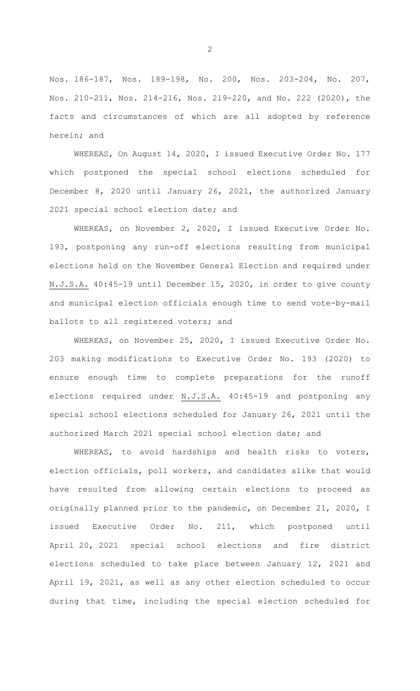Nos. 186-187, Nos. 189-198, No. 200, Nos. 203-204, No. 207, Nos. 210-211, Nos. 214-216, Nos. 219-220, and No. 222 (2020), the facts and circumstances of which are all adopted by reference herein; and

WHEREAS, On August 14, 2020, I issued Executive Order No. 177 which postponed the special school elections scheduled for December 8, 2020 until January 26, 2021, the authorized January 2021 special school election date; and

WHEREAS, on November 2, 2020, I issued Executive Order No. 193, postponing any run-off elections resulting from municipal elections held on the November General Election and required under N.J.S.A. 40:45-19 until December 15, 2020, in order to give county and municipal election officials enough time to send vote-by-mail ballots to all registered voters; and

WHEREAS, on November 25, 2020, I issued Executive Order No. 203 making modifications to Executive Order No. 193 (2020) to ensure enough time to complete preparations for the runoff elections required under N.J.S.A. 40:45-19 and postponing any special school elections scheduled for January 26, 2021 until the authorized March 2021 special school election date; and

WHEREAS, to avoid hardships and health risks to voters, election officials, poll workers, and candidates alike that would have resulted from allowing certain elections to proceed as originally planned prior to the pandemic, on December 21, 2020, I issued Executive Order No. 211, which postponed until April 20, 2021 special school elections and fire district elections scheduled to take place between January 12, 2021 and April 19, 2021, as well as any other election scheduled to occur during that time, including the special election scheduled for

2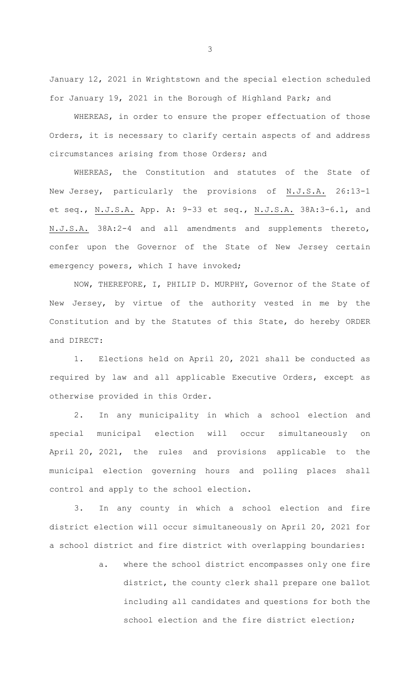January 12, 2021 in Wrightstown and the special election scheduled for January 19, 2021 in the Borough of Highland Park; and

WHEREAS, in order to ensure the proper effectuation of those Orders, it is necessary to clarify certain aspects of and address circumstances arising from those Orders; and

WHEREAS, the Constitution and statutes of the State of New Jersey, particularly the provisions of N.J.S.A. 26:13-1 et seq., N.J.S.A. App. A: 9-33 et seq., N.J.S.A. 38A:3-6.1, and N.J.S.A. 38A:2-4 and all amendments and supplements thereto, confer upon the Governor of the State of New Jersey certain emergency powers, which I have invoked;

NOW, THEREFORE, I, PHILIP D. MURPHY, Governor of the State of New Jersey, by virtue of the authority vested in me by the Constitution and by the Statutes of this State, do hereby ORDER and DIRECT:

1. Elections held on April 20, 2021 shall be conducted as required by law and all applicable Executive Orders, except as otherwise provided in this Order.

2. In any municipality in which a school election and special municipal election will occur simultaneously on April 20, 2021, the rules and provisions applicable to the municipal election governing hours and polling places shall control and apply to the school election.

3. In any county in which a school election and fire district election will occur simultaneously on April 20, 2021 for a school district and fire district with overlapping boundaries:

> a. where the school district encompasses only one fire district, the county clerk shall prepare one ballot including all candidates and questions for both the school election and the fire district election;

3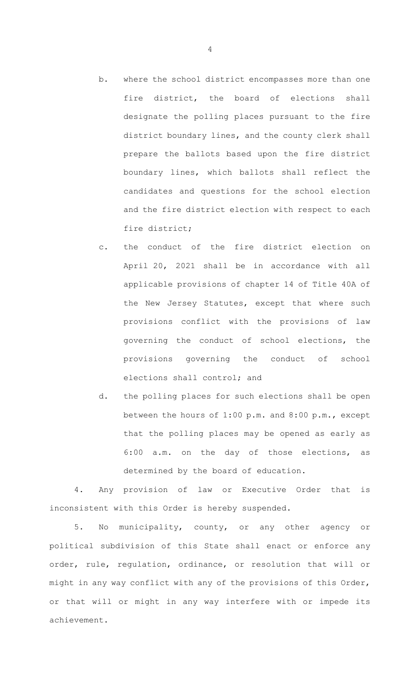- b. where the school district encompasses more than one fire district, the board of elections shall designate the polling places pursuant to the fire district boundary lines, and the county clerk shall prepare the ballots based upon the fire district boundary lines, which ballots shall reflect the candidates and questions for the school election and the fire district election with respect to each fire district;
- c. the conduct of the fire district election on April 20, 2021 shall be in accordance with all applicable provisions of chapter 14 of Title 40A of the New Jersey Statutes, except that where such provisions conflict with the provisions of law governing the conduct of school elections, the provisions governing the conduct of school elections shall control; and
- d. the polling places for such elections shall be open between the hours of 1:00 p.m. and 8:00 p.m., except that the polling places may be opened as early as 6:00 a.m. on the day of those elections, as determined by the board of education.

4. Any provision of law or Executive Order that is inconsistent with this Order is hereby suspended.

5. No municipality, county, or any other agency or political subdivision of this State shall enact or enforce any order, rule, regulation, ordinance, or resolution that will or might in any way conflict with any of the provisions of this Order, or that will or might in any way interfere with or impede its achievement.